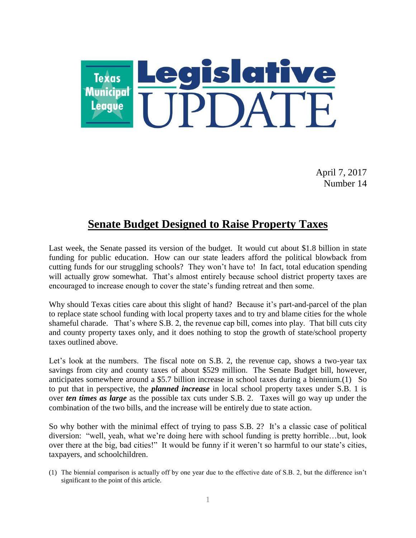

April 7, 2017 Number 14

#### **Senate Budget Designed to Raise Property Taxes**

Last week, the Senate passed its version of the budget. It would cut about \$1.8 billion in state funding for public education. How can our state leaders afford the political blowback from cutting funds for our struggling schools? They won't have to! In fact, total education spending will actually grow somewhat. That's almost entirely because school district property taxes are encouraged to increase enough to cover the state's funding retreat and then some.

Why should Texas cities care about this slight of hand? Because it's part-and-parcel of the plan to replace state school funding with local property taxes and to try and blame cities for the whole shameful charade. That's where S.B. 2, the revenue cap bill, comes into play. That bill cuts city and county property taxes only, and it does nothing to stop the growth of state/school property taxes outlined above.

Let's look at the numbers. The fiscal note on S.B. 2, the revenue cap, shows a two-year tax savings from city and county taxes of about \$529 million. The Senate Budget bill, however, anticipates somewhere around a \$5.7 billion increase in school taxes during a biennium.(1) So to put that in perspective, the *planned increase* in local school property taxes under S.B. 1 is over *ten times as large* as the possible tax cuts under S.B. 2. Taxes will go way up under the combination of the two bills, and the increase will be entirely due to state action.

So why bother with the minimal effect of trying to pass S.B. 2? It's a classic case of political diversion: "well, yeah, what we're doing here with school funding is pretty horrible…but, look over there at the big, bad cities!" It would be funny if it weren't so harmful to our state's cities, taxpayers, and schoolchildren.

<sup>(1)</sup> The biennial comparison is actually off by one year due to the effective date of S.B. 2, but the difference isn't significant to the point of this article.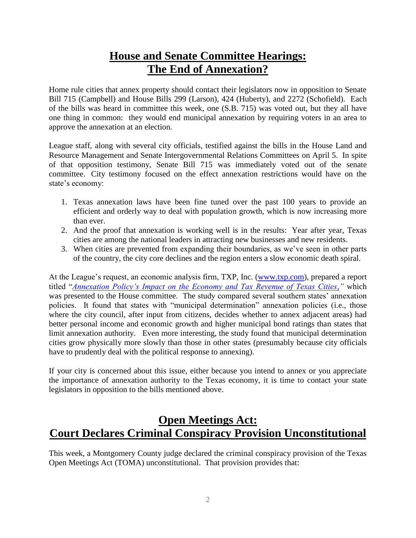## **House and Senate Committee Hearings: The End of Annexation?**

Home rule cities that annex property should contact their legislators now in opposition to Senate Bill 715 (Campbell) and House Bills 299 (Larson), 424 (Huberty), and 2272 (Schofield). Each of the bills was heard in committee this week, one (S.B. 715) was voted out, but they all have one thing in common: they would end municipal annexation by requiring voters in an area to approve the annexation at an election.

League staff, along with several city officials, testified against the bills in the House Land and Resource Management and Senate Intergovernmental Relations Committees on April 5. In spite of that opposition testimony, Senate Bill 715 was immediately voted out of the senate committee. City testimony focused on the effect annexation restrictions would have on the state's economy:

- 1. Texas annexation laws have been fine tuned over the past 100 years to provide an efficient and orderly way to deal with population growth, which is now increasing more than ever.
- 2. And the proof that annexation is working well is in the results: Year after year, Texas cities are among the national leaders in attracting new businesses and new residents.
- 3. When cities are prevented from expanding their boundaries, as we've seen in other parts of the country, the city core declines and the region enters a slow economic death spiral.

At the League's request, an economic analysis firm, TXP, Inc. [\(www.txp.com\)](http://www.txp.com/), prepared a report titled "*[Annexation Policy's Impact on the Economy and Tax Revenue of Texas Cities,](https://www.tml.org/p/TML%20TXP%20Annexation%20DRAFT%20April%202016%201.1.pdf)"* which was presented to the House committee. The study compared several southern states' annexation policies. It found that states with "municipal determination" annexation policies (i.e., those where the city council, after input from citizens, decides whether to annex adjacent areas) had better personal income and economic growth and higher municipal bond ratings than states that limit annexation authority. Even more interesting, the study found that municipal determination cities grow physically more slowly than those in other states (presumably because city officials have to prudently deal with the political response to annexing).

If your city is concerned about this issue, either because you intend to annex or you appreciate the importance of annexation authority to the Texas economy, it is time to contact your state legislators in opposition to the bills mentioned above.

### **Open Meetings Act: Court Declares Criminal Conspiracy Provision Unconstitutional**

This week, a Montgomery County judge declared the criminal conspiracy provision of the Texas Open Meetings Act (TOMA) unconstitutional. That provision provides that: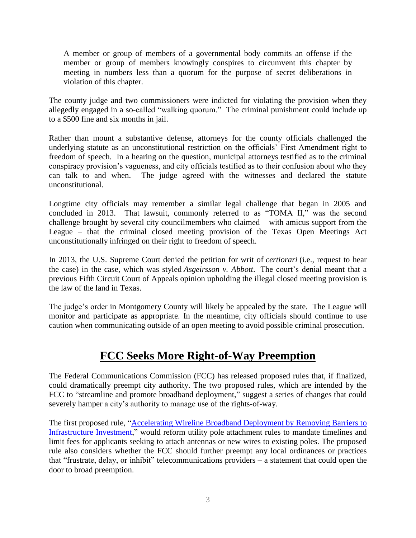A member or group of members of a governmental body commits an offense if the member or group of members knowingly conspires to circumvent this chapter by meeting in numbers less than a quorum for the purpose of secret deliberations in violation of this chapter.

The county judge and two commissioners were indicted for violating the provision when they allegedly engaged in a so-called "walking quorum." The criminal punishment could include up to a \$500 fine and six months in jail.

Rather than mount a substantive defense, attorneys for the county officials challenged the underlying statute as an unconstitutional restriction on the officials' First Amendment right to freedom of speech. In a hearing on the question, municipal attorneys testified as to the criminal conspiracy provision's vagueness, and city officials testified as to their confusion about who they can talk to and when. The judge agreed with the witnesses and declared the statute unconstitutional.

Longtime city officials may remember a similar legal challenge that began in 2005 and concluded in 2013. That lawsuit, commonly referred to as "TOMA II," was the second challenge brought by several city councilmembers who claimed – with amicus support from the League – that the criminal closed meeting provision of the Texas Open Meetings Act unconstitutionally infringed on their right to freedom of speech.

In 2013, the U.S. Supreme Court denied the petition for writ of *certiorari* (i.e., request to hear the case) in the case, which was styled *Asgeirsson v. Abbott*. The court's denial meant that a previous Fifth Circuit Court of Appeals opinion upholding the illegal closed meeting provision is the law of the land in Texas.

The judge's order in Montgomery County will likely be appealed by the state. The League will monitor and participate as appropriate. In the meantime, city officials should continue to use caution when communicating outside of an open meeting to avoid possible criminal prosecution.

## **FCC Seeks More Right-of-Way Preemption**

The Federal Communications Commission (FCC) has released proposed rules that, if finalized, could dramatically preempt city authority. The two proposed rules, which are intended by the FCC to "streamline and promote broadband deployment," suggest a series of changes that could severely hamper a city's authority to manage use of the rights-of-way.

The first proposed rule, ["Accelerating Wireline Broadband Deployment by Removing Barriers to](http://transition.fcc.gov/Daily_Releases/Daily_Business/2017/db0330/DOC-344161A1.pdf)  [Infrastructure Investment,](http://transition.fcc.gov/Daily_Releases/Daily_Business/2017/db0330/DOC-344161A1.pdf)" would reform utility pole attachment rules to mandate timelines and limit fees for applicants seeking to attach antennas or new wires to existing poles. The proposed rule also considers whether the FCC should further preempt any local ordinances or practices that "frustrate, delay, or inhibit" telecommunications providers – a statement that could open the door to broad preemption.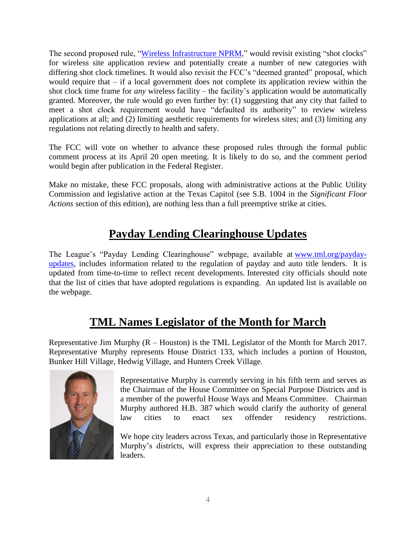The second proposed rule, ["Wireless Infrastructure NPRM,](http://transition.fcc.gov/Daily_Releases/Daily_Business/2017/db0330/DOC-344160A1.pdf)" would revisit existing "shot clocks" for wireless site application review and potentially create a number of new categories with differing shot clock timelines. It would also revisit the FCC's "deemed granted" proposal, which would require that – if a local government does not complete its application review within the shot clock time frame for *any* wireless facility – the facility's application would be automatically granted. Moreover, the rule would go even further by: (1) suggesting that any city that failed to meet a shot clock requirement would have "defaulted its authority" to review wireless applications at all; and (2) limiting aesthetic requirements for wireless sites; and (3) limiting any regulations not relating directly to health and safety.

The FCC will vote on whether to advance these proposed rules through the formal public comment process at its April 20 open meeting. It is likely to do so, and the comment period would begin after publication in the Federal Register.

Make no mistake, these FCC proposals, along with administrative actions at the Public Utility Commission and legislative action at the Texas Capitol (see S.B. 1004 in the *Significant Floor Actions* section of this edition), are nothing less than a full preemptive strike at cities.

# **Payday Lending Clearinghouse Updates**

The League's "Payday Lending Clearinghouse" webpage, available at [www.tml.org/payday](https://www.tml.org/payday-updates)[updates,](https://www.tml.org/payday-updates) includes information related to the regulation of payday and auto title lenders. It is updated from time-to-time to reflect recent developments. Interested city officials should note that the list of cities that have adopted regulations is expanding. An updated list is available on the webpage.

# **TML Names Legislator of the Month for March**

Representative Jim Murphy (R – Houston) is the TML Legislator of the Month for March 2017. Representative Murphy represents House District 133, which includes a portion of Houston, Bunker Hill Village, Hedwig Village, and Hunters Creek Village.



Representative Murphy is currently serving in his fifth term and serves as the Chairman of the House Committee on Special Purpose Districts and is a member of the powerful House Ways and Means Committee. Chairman Murphy authored H.B. 387 which would clarify the authority of general law cities to enact sex offender residency restrictions.

We hope city leaders across Texas, and particularly those in Representative Murphy's districts, will express their appreciation to these outstanding leaders.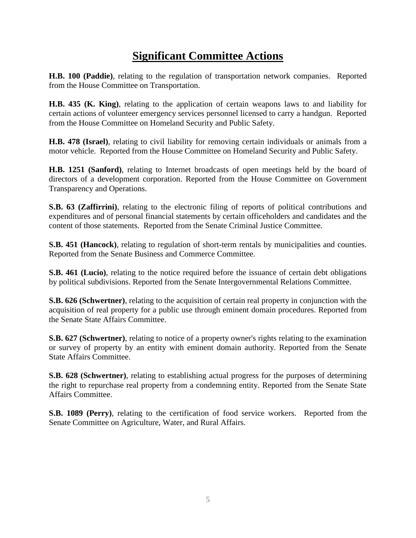## **Significant Committee Actions**

**H.B. 100 (Paddie)**, relating to the regulation of transportation network companies. Reported from the House Committee on Transportation.

**H.B. 435 (K. King)**, relating to the application of certain weapons laws to and liability for certain actions of volunteer emergency services personnel licensed to carry a handgun. Reported from the House Committee on Homeland Security and Public Safety.

**H.B. 478 (Israel)**, relating to civil liability for removing certain individuals or animals from a motor vehicle. Reported from the House Committee on Homeland Security and Public Safety.

**H.B. 1251 (Sanford)**, relating to Internet broadcasts of open meetings held by the board of directors of a development corporation. Reported from the House Committee on Government Transparency and Operations.

**S.B. 63 (Zaffirrini)**, relating to the electronic filing of reports of political contributions and expenditures and of personal financial statements by certain officeholders and candidates and the content of those statements. Reported from the Senate Criminal Justice Committee.

**S.B. 451 (Hancock)**, relating to regulation of short-term rentals by municipalities and counties. Reported from the Senate Business and Commerce Committee.

**S.B. 461 (Lucio)**, relating to the notice required before the issuance of certain debt obligations by political subdivisions. Reported from the Senate Intergovernmental Relations Committee.

**S.B. 626 (Schwertner)**, relating to the acquisition of certain real property in conjunction with the acquisition of real property for a public use through eminent domain procedures. Reported from the Senate State Affairs Committee.

**S.B. 627 (Schwertner)**, relating to notice of a property owner's rights relating to the examination or survey of property by an entity with eminent domain authority. Reported from the Senate State Affairs Committee.

**S.B. 628 (Schwertner)**, relating to establishing actual progress for the purposes of determining the right to repurchase real property from a condemning entity. Reported from the Senate State Affairs Committee.

**S.B. 1089 (Perry)**, relating to the certification of food service workers. Reported from the Senate Committee on Agriculture, Water, and Rural Affairs.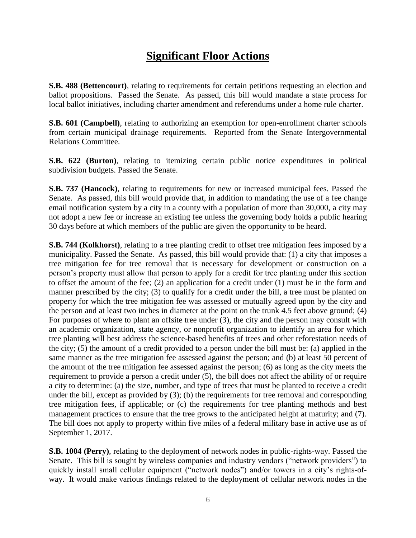### **Significant Floor Actions**

**S.B. 488 (Bettencourt)**, relating to requirements for certain petitions requesting an election and ballot propositions. Passed the Senate. As passed, this bill would mandate a state process for local ballot initiatives, including charter amendment and referendums under a home rule charter.

**S.B. 601 (Campbell)**, relating to authorizing an exemption for open-enrollment charter schools from certain municipal drainage requirements. Reported from the Senate Intergovernmental Relations Committee.

**S.B. 622 (Burton)**, relating to itemizing certain public notice expenditures in political subdivision budgets. Passed the Senate.

**S.B. 737 (Hancock)**, relating to requirements for new or increased municipal fees. Passed the Senate. As passed, this bill would provide that, in addition to mandating the use of a fee change email notification system by a city in a county with a population of more than 30,000, a city may not adopt a new fee or increase an existing fee unless the governing body holds a public hearing 30 days before at which members of the public are given the opportunity to be heard.

**S.B. 744 (Kolkhorst)**, relating to a tree planting credit to offset tree mitigation fees imposed by a municipality. Passed the Senate. As passed, this bill would provide that: (1) a city that imposes a tree mitigation fee for tree removal that is necessary for development or construction on a person's property must allow that person to apply for a credit for tree planting under this section to offset the amount of the fee; (2) an application for a credit under (1) must be in the form and manner prescribed by the city; (3) to qualify for a credit under the bill, a tree must be planted on property for which the tree mitigation fee was assessed or mutually agreed upon by the city and the person and at least two inches in diameter at the point on the trunk 4.5 feet above ground; (4) For purposes of where to plant an offsite tree under (3), the city and the person may consult with an academic organization, state agency, or nonprofit organization to identify an area for which tree planting will best address the science-based benefits of trees and other reforestation needs of the city; (5) the amount of a credit provided to a person under the bill must be: (a) applied in the same manner as the tree mitigation fee assessed against the person; and (b) at least 50 percent of the amount of the tree mitigation fee assessed against the person; (6) as long as the city meets the requirement to provide a person a credit under (5), the bill does not affect the ability of or require a city to determine: (a) the size, number, and type of trees that must be planted to receive a credit under the bill, except as provided by (3); (b) the requirements for tree removal and corresponding tree mitigation fees, if applicable; or (c) the requirements for tree planting methods and best management practices to ensure that the tree grows to the anticipated height at maturity; and (7). The bill does not apply to property within five miles of a federal military base in active use as of September 1, 2017.

**S.B. 1004 (Perry)**, relating to the deployment of network nodes in public-rights-way. Passed the Senate. This bill is sought by wireless companies and industry vendors ("network providers") to quickly install small cellular equipment ("network nodes") and/or towers in a city's rights-ofway. It would make various findings related to the deployment of cellular network nodes in the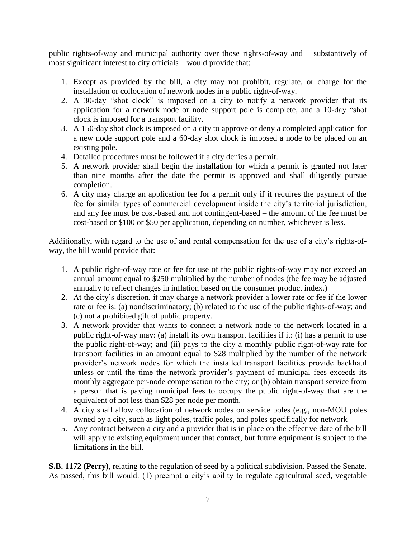public rights-of-way and municipal authority over those rights-of-way and – substantively of most significant interest to city officials – would provide that:

- 1. Except as provided by the bill, a city may not prohibit, regulate, or charge for the installation or collocation of network nodes in a public right-of-way.
- 2. A 30-day "shot clock" is imposed on a city to notify a network provider that its application for a network node or node support pole is complete, and a 10-day "shot clock is imposed for a transport facility.
- 3. A 150-day shot clock is imposed on a city to approve or deny a completed application for a new node support pole and a 60-day shot clock is imposed a node to be placed on an existing pole.
- 4. Detailed procedures must be followed if a city denies a permit.
- 5. A network provider shall begin the installation for which a permit is granted not later than nine months after the date the permit is approved and shall diligently pursue completion.
- 6. A city may charge an application fee for a permit only if it requires the payment of the fee for similar types of commercial development inside the city's territorial jurisdiction, and any fee must be cost-based and not contingent-based – the amount of the fee must be cost-based or \$100 or \$50 per application, depending on number, whichever is less.

Additionally, with regard to the use of and rental compensation for the use of a city's rights-ofway, the bill would provide that:

- 1. A public right-of-way rate or fee for use of the public rights-of-way may not exceed an annual amount equal to \$250 multiplied by the number of nodes (the fee may be adjusted annually to reflect changes in inflation based on the consumer product index.)
- 2. At the city's discretion, it may charge a network provider a lower rate or fee if the lower rate or fee is: (a) nondiscriminatory; (b) related to the use of the public rights-of-way; and (c) not a prohibited gift of public property.
- 3. A network provider that wants to connect a network node to the network located in a public right-of-way may: (a) install its own transport facilities if it: (i) has a permit to use the public right-of-way; and (ii) pays to the city a monthly public right-of-way rate for transport facilities in an amount equal to \$28 multiplied by the number of the network provider's network nodes for which the installed transport facilities provide backhaul unless or until the time the network provider's payment of municipal fees exceeds its monthly aggregate per-node compensation to the city; or (b) obtain transport service from a person that is paying municipal fees to occupy the public right-of-way that are the equivalent of not less than \$28 per node per month.
- 4. A city shall allow collocation of network nodes on service poles (e.g., non-MOU poles owned by a city, such as light poles, traffic poles, and poles specifically for network
- 5. Any contract between a city and a provider that is in place on the effective date of the bill will apply to existing equipment under that contact, but future equipment is subject to the limitations in the bill.

**S.B. 1172 (Perry)**, relating to the regulation of seed by a political subdivision. Passed the Senate. As passed, this bill would: (1) preempt a city's ability to regulate agricultural seed, vegetable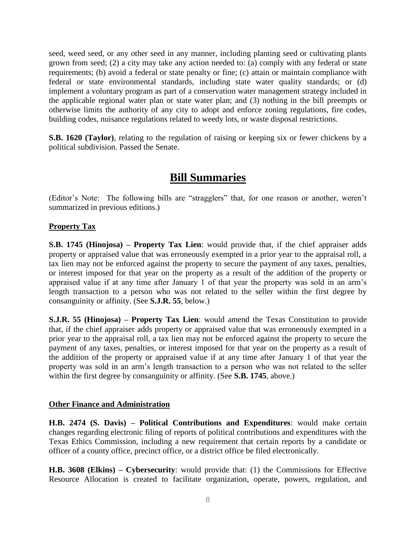seed, weed seed, or any other seed in any manner, including planting seed or cultivating plants grown from seed; (2) a city may take any action needed to: (a) comply with any federal or state requirements; (b) avoid a federal or state penalty or fine; (c) attain or maintain compliance with federal or state environmental standards, including state water quality standards; or (d) implement a voluntary program as part of a conservation water management strategy included in the applicable regional water plan or state water plan; and (3) nothing in the bill preempts or otherwise limits the authority of any city to adopt and enforce zoning regulations, fire codes, building codes, nuisance regulations related to weedy lots, or waste disposal restrictions.

**S.B. 1620 (Taylor)**, relating to the regulation of raising or keeping six or fewer chickens by a political subdivision. Passed the Senate.

#### **Bill Summaries**

(Editor's Note: The following bills are "stragglers" that, for one reason or another, weren't summarized in previous editions.)

#### **Property Tax**

**S.B. 1745 (Hinojosa) – Property Tax Lien**: would provide that, if the chief appraiser adds property or appraised value that was erroneously exempted in a prior year to the appraisal roll, a tax lien may not be enforced against the property to secure the payment of any taxes, penalties, or interest imposed for that year on the property as a result of the addition of the property or appraised value if at any time after January 1 of that year the property was sold in an arm's length transaction to a person who was not related to the seller within the first degree by consanguinity or affinity. (See **S.J.R. 55**, below.)

**S.J.R. 55 (Hinojosa) – Property Tax Lien**: would amend the Texas Constitution to provide that, if the chief appraiser adds property or appraised value that was erroneously exempted in a prior year to the appraisal roll, a tax lien may not be enforced against the property to secure the payment of any taxes, penalties, or interest imposed for that year on the property as a result of the addition of the property or appraised value if at any time after January 1 of that year the property was sold in an arm's length transaction to a person who was not related to the seller within the first degree by consanguinity or affinity. (See **S.B. 1745**, above.)

#### **Other Finance and Administration**

**H.B. 2474 (S. Davis) – Political Contributions and Expenditures**: would make certain changes regarding electronic filing of reports of political contributions and expenditures with the Texas Ethics Commission, including a new requirement that certain reports by a candidate or officer of a county office, precinct office, or a district office be filed electronically.

**H.B. 3608 (Elkins) – Cybersecurity**: would provide that: (1) the Commissions for Effective Resource Allocation is created to facilitate organization, operate, powers, regulation, and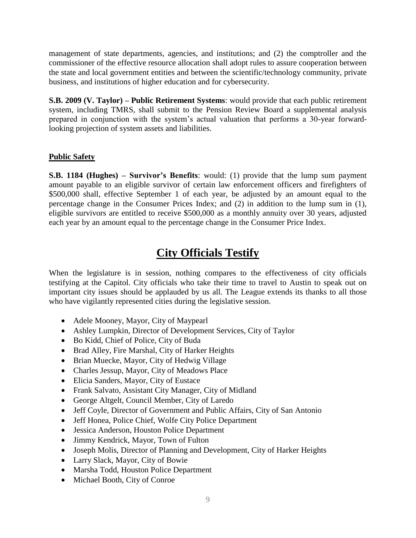management of state departments, agencies, and institutions; and (2) the comptroller and the commissioner of the effective resource allocation shall adopt rules to assure cooperation between the state and local government entities and between the scientific/technology community, private business, and institutions of higher education and for cybersecurity.

**S.B. 2009 (V. Taylor) – Public Retirement Systems**: would provide that each public retirement system, including TMRS, shall submit to the Pension Review Board a supplemental analysis prepared in conjunction with the system's actual valuation that performs a 30-year forwardlooking projection of system assets and liabilities.

#### **Public Safety**

**S.B. 1184 (Hughes) – Survivor's Benefits**: would: (1) provide that the lump sum payment amount payable to an eligible survivor of certain law enforcement officers and firefighters of \$500,000 shall, effective September 1 of each year, be adjusted by an amount equal to the percentage change in the Consumer Prices Index; and (2) in addition to the lump sum in (1), eligible survivors are entitled to receive \$500,000 as a monthly annuity over 30 years, adjusted each year by an amount equal to the percentage change in the Consumer Price Index.

### **City Officials Testify**

When the legislature is in session, nothing compares to the effectiveness of city officials testifying at the Capitol. City officials who take their time to travel to Austin to speak out on important city issues should be applauded by us all. The League extends its thanks to all those who have vigilantly represented cities during the legislative session.

- Adele Mooney, Mayor, City of Maypearl
- Ashley Lumpkin, Director of Development Services, City of Taylor
- Bo Kidd, Chief of Police, City of Buda
- Brad Alley, Fire Marshal, City of Harker Heights
- Brian Muecke, Mayor, City of Hedwig Village
- Charles Jessup, Mayor, City of Meadows Place
- Elicia Sanders, Mayor, City of Eustace
- Frank Salvato, Assistant City Manager, City of Midland
- George Altgelt, Council Member, City of Laredo
- Jeff Coyle, Director of Government and Public Affairs, City of San Antonio
- Jeff Honea, Police Chief, Wolfe City Police Department
- Jessica Anderson, Houston Police Department
- Jimmy Kendrick, Mayor, Town of Fulton
- Joseph Molis, Director of Planning and Development, City of Harker Heights
- Larry Slack, Mayor, City of Bowie
- Marsha Todd, Houston Police Department
- Michael Booth, City of Conroe